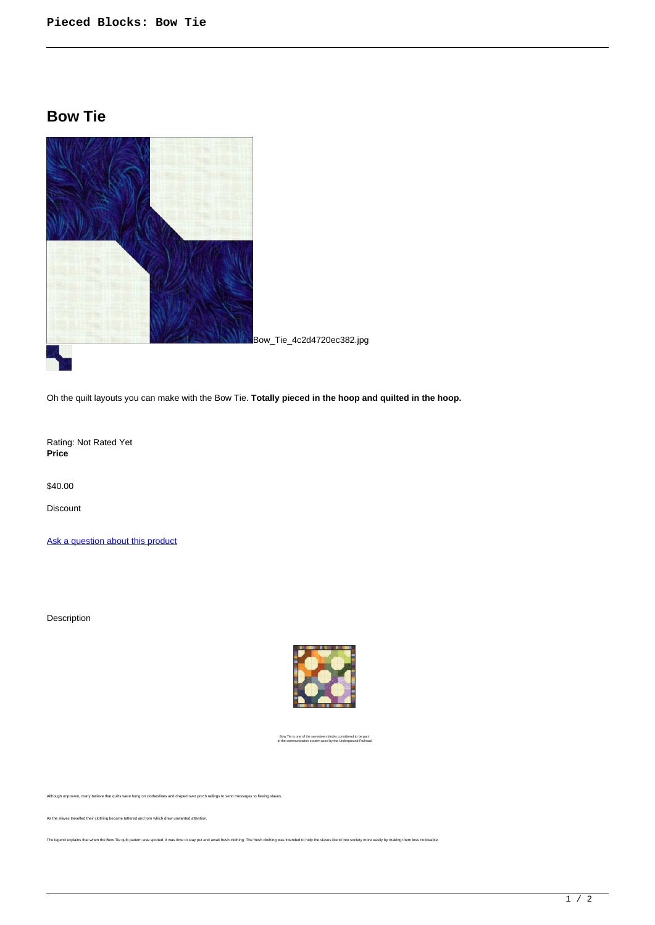## **Bow Tie**



Oh the quilt layouts you can make with the Bow Tie. **Totally pieced in the hoop and quilted in the hoop.**

Rating: Not Rated Yet **Price** 

\$40.00

Discount

[Ask a question about this product](https://www.queenofstitching.com/index.php?option=com_virtuemart&view=productdetails&task=askquestion&virtuemart_product_id=74&virtuemart_category_id=12&tmpl=component)

Description



Bow Tie is one of the seventeen blocks considered to be part of the communication system used by the Underground Railroad.

Although unproven, many believe that quilts were hung on clotheslines and draped over porch railings to send messages to fleeing slaves.

As the slaves travelled their clothing became tattered and torn which drew unwanted attention.

The legend explains that when the Bow Tie quilt pattern was spotted, it was time to stay put and await fresh clothing. The fresh clothing was intended to help the slaves blend into society more easily by making them less n